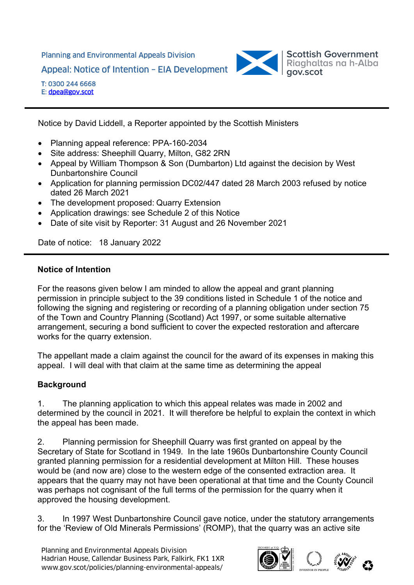Planning and Environmental Appeals Division Appeal: Notice of Intention – EIA Development



T: 0300 244 6668 E: dpea@gov.scot

Notice by David Liddell, a Reporter appointed by the Scottish Ministers

- Planning appeal reference: PPA-160-2034
- Site address: Sheephill Quarry, Milton, G82 2RN
- Appeal by William Thompson & Son (Dumbarton) Ltd against the decision by West Dunbartonshire Council
- Application for planning permission DC02/447 dated 28 March 2003 refused by notice dated 26 March 2021
- The development proposed: Quarry Extension
- Application drawings: see Schedule 2 of this Notice
- Date of site visit by Reporter: 31 August and 26 November 2021

Date of notice: 18 January 2022

## **Notice of Intention**

For the reasons given below I am minded to allow the appeal and grant planning permission in principle subject to the 39 conditions listed in Schedule 1 of the notice and following the signing and registering or recording of a planning obligation under section 75 of the Town and Country Planning (Scotland) Act 1997, or some suitable alternative arrangement, securing a bond sufficient to cover the expected restoration and aftercare works for the quarry extension.

The appellant made a claim against the council for the award of its expenses in making this appeal. I will deal with that claim at the same time as determining the appeal

# **Background**

1. The planning application to which this appeal relates was made in 2002 and determined by the council in 2021. It will therefore be helpful to explain the context in which the appeal has been made.

2. Planning permission for Sheephill Quarry was first granted on appeal by the Secretary of State for Scotland in 1949. In the late 1960s Dunbartonshire County Council granted planning permission for a residential development at Milton Hill. These houses would be (and now are) close to the western edge of the consented extraction area. It appears that the quarry may not have been operational at that time and the County Council was perhaps not cognisant of the full terms of the permission for the quarry when it approved the housing development.

3. In 1997 West Dunbartonshire Council gave notice, under the statutory arrangements for the 'Review of Old Minerals Permissions' (ROMP), that the quarry was an active site

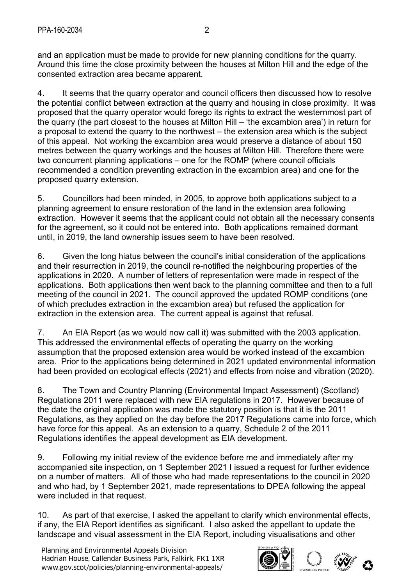and an application must be made to provide for new planning conditions for the quarry. Around this time the close proximity between the houses at Milton Hill and the edge of the consented extraction area became apparent.

4. It seems that the quarry operator and council officers then discussed how to resolve the potential conflict between extraction at the quarry and housing in close proximity. It was proposed that the quarry operator would forego its rights to extract the westernmost part of the quarry (the part closest to the houses at Milton Hill – 'the excambion area') in return for a proposal to extend the quarry to the northwest – the extension area which is the subject of this appeal. Not working the excambion area would preserve a distance of about 150 metres between the quarry workings and the houses at Milton Hill. Therefore there were two concurrent planning applications – one for the ROMP (where council officials recommended a condition preventing extraction in the excambion area) and one for the proposed quarry extension.

5. Councillors had been minded, in 2005, to approve both applications subject to a planning agreement to ensure restoration of the land in the extension area following extraction. However it seems that the applicant could not obtain all the necessary consents for the agreement, so it could not be entered into. Both applications remained dormant until, in 2019, the land ownership issues seem to have been resolved.

6. Given the long hiatus between the council's initial consideration of the applications and their resurrection in 2019, the council re-notified the neighbouring properties of the applications in 2020. A number of letters of representation were made in respect of the applications. Both applications then went back to the planning committee and then to a full meeting of the council in 2021. The council approved the updated ROMP conditions (one of which precludes extraction in the excambion area) but refused the application for extraction in the extension area. The current appeal is against that refusal.

7. An EIA Report (as we would now call it) was submitted with the 2003 application. This addressed the environmental effects of operating the quarry on the working assumption that the proposed extension area would be worked instead of the excambion area. Prior to the applications being determined in 2021 updated environmental information had been provided on ecological effects (2021) and effects from noise and vibration (2020).

8. The Town and Country Planning (Environmental Impact Assessment) (Scotland) Regulations 2011 were replaced with new EIA regulations in 2017. However because of the date the original application was made the statutory position is that it is the 2011 Regulations, as they applied on the day before the 2017 Regulations came into force, which have force for this appeal. As an extension to a quarry, Schedule 2 of the 2011 Regulations identifies the appeal development as EIA development.

9. Following my initial review of the evidence before me and immediately after my accompanied site inspection, on 1 September 2021 I issued a request for further evidence on a number of matters. All of those who had made representations to the council in 2020 and who had, by 1 September 2021, made representations to DPEA following the appeal were included in that request.

10. As part of that exercise, I asked the appellant to clarify which environmental effects, if any, the EIA Report identifies as significant. I also asked the appellant to update the landscape and visual assessment in the EIA Report, including visualisations and other

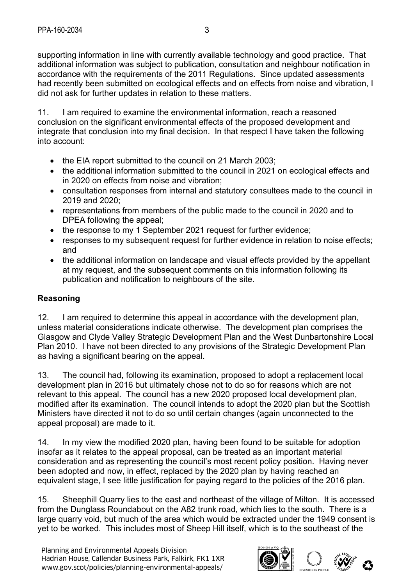supporting information in line with currently available technology and good practice. That additional information was subject to publication, consultation and neighbour notification in accordance with the requirements of the 2011 Regulations. Since updated assessments had recently been submitted on ecological effects and on effects from noise and vibration, I did not ask for further updates in relation to these matters.

11. I am required to examine the environmental information, reach a reasoned conclusion on the significant environmental effects of the proposed development and integrate that conclusion into my final decision. In that respect I have taken the following into account:

- the EIA report submitted to the council on 21 March 2003;
- the additional information submitted to the council in 2021 on ecological effects and in 2020 on effects from noise and vibration;
- consultation responses from internal and statutory consultees made to the council in 2019 and 2020;
- representations from members of the public made to the council in 2020 and to DPEA following the appeal;
- the response to my 1 September 2021 request for further evidence;
- responses to my subsequent request for further evidence in relation to noise effects; and
- the additional information on landscape and visual effects provided by the appellant at my request, and the subsequent comments on this information following its publication and notification to neighbours of the site.

# **Reasoning**

12. I am required to determine this appeal in accordance with the development plan, unless material considerations indicate otherwise. The development plan comprises the Glasgow and Clyde Valley Strategic Development Plan and the West Dunbartonshire Local Plan 2010. I have not been directed to any provisions of the Strategic Development Plan as having a significant bearing on the appeal.

13. The council had, following its examination, proposed to adopt a replacement local development plan in 2016 but ultimately chose not to do so for reasons which are not relevant to this appeal. The council has a new 2020 proposed local development plan, modified after its examination. The council intends to adopt the 2020 plan but the Scottish Ministers have directed it not to do so until certain changes (again unconnected to the appeal proposal) are made to it.

14. In my view the modified 2020 plan, having been found to be suitable for adoption insofar as it relates to the appeal proposal, can be treated as an important material consideration and as representing the council's most recent policy position. Having never been adopted and now, in effect, replaced by the 2020 plan by having reached an equivalent stage, I see little justification for paying regard to the policies of the 2016 plan.

15. Sheephill Quarry lies to the east and northeast of the village of Milton. It is accessed from the Dunglass Roundabout on the A82 trunk road, which lies to the south. There is a large quarry void, but much of the area which would be extracted under the 1949 consent is yet to be worked. This includes most of Sheep Hill itself, which is to the southeast of the

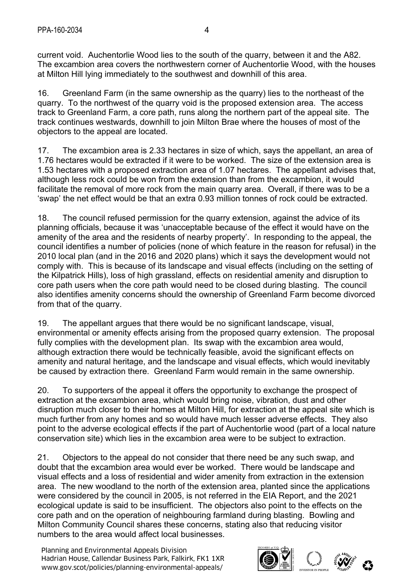current void. Auchentorlie Wood lies to the south of the quarry, between it and the A82. The excambion area covers the northwestern corner of Auchentorlie Wood, with the houses at Milton Hill lying immediately to the southwest and downhill of this area.

16. Greenland Farm (in the same ownership as the quarry) lies to the northeast of the quarry. To the northwest of the quarry void is the proposed extension area. The access track to Greenland Farm, a core path, runs along the northern part of the appeal site. The track continues westwards, downhill to join Milton Brae where the houses of most of the objectors to the appeal are located.

17. The excambion area is 2.33 hectares in size of which, says the appellant, an area of 1.76 hectares would be extracted if it were to be worked. The size of the extension area is 1.53 hectares with a proposed extraction area of 1.07 hectares. The appellant advises that, although less rock could be won from the extension than from the excambion, it would facilitate the removal of more rock from the main quarry area. Overall, if there was to be a 'swap' the net effect would be that an extra 0.93 million tonnes of rock could be extracted.

18. The council refused permission for the quarry extension, against the advice of its planning officials, because it was 'unacceptable because of the effect it would have on the amenity of the area and the residents of nearby property'. In responding to the appeal, the council identifies a number of policies (none of which feature in the reason for refusal) in the 2010 local plan (and in the 2016 and 2020 plans) which it says the development would not comply with. This is because of its landscape and visual effects (including on the setting of the Kilpatrick Hills), loss of high grassland, effects on residential amenity and disruption to core path users when the core path would need to be closed during blasting. The council also identifies amenity concerns should the ownership of Greenland Farm become divorced from that of the quarry.

19. The appellant argues that there would be no significant landscape, visual, environmental or amenity effects arising from the proposed quarry extension. The proposal fully complies with the development plan. Its swap with the excambion area would, although extraction there would be technically feasible, avoid the significant effects on amenity and natural heritage, and the landscape and visual effects, which would inevitably be caused by extraction there. Greenland Farm would remain in the same ownership.

20. To supporters of the appeal it offers the opportunity to exchange the prospect of extraction at the excambion area, which would bring noise, vibration, dust and other disruption much closer to their homes at Milton Hill, for extraction at the appeal site which is much further from any homes and so would have much lesser adverse effects. They also point to the adverse ecological effects if the part of Auchentorlie wood (part of a local nature conservation site) which lies in the excambion area were to be subject to extraction.

21. Objectors to the appeal do not consider that there need be any such swap, and doubt that the excambion area would ever be worked. There would be landscape and visual effects and a loss of residential and wider amenity from extraction in the extension area. The new woodland to the north of the extension area, planted since the applications were considered by the council in 2005, is not referred in the EIA Report, and the 2021 ecological update is said to be insufficient. The objectors also point to the effects on the core path and on the operation of neighbouring farmland during blasting. Bowling and Milton Community Council shares these concerns, stating also that reducing visitor numbers to the area would affect local businesses.

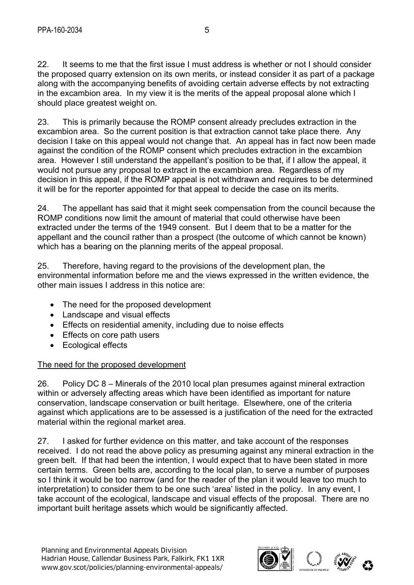22. It seems to me that the first issue I must address is whether or not I should consider the proposed quarry extension on its own merits, or instead consider it as part of a package along with the accompanying benefits of avoiding certain adverse effects by not extracting in the excambion area. In my view it is the merits of the appeal proposal alone which I should place greatest weight on.

23. This is primarily because the ROMP consent already precludes extraction in the excambion area. So the current position is that extraction cannot take place there. Any decision I take on this appeal would not change that. An appeal has in fact now been made against the condition of the ROMP consent which precludes extraction in the excambion area. However I still understand the appellant's position to be that, if I allow the appeal, it would not pursue any proposal to extract in the excambion area. Regardless of my decision in this appeal, if the ROMP appeal is not withdrawn and requires to be determined it will be for the reporter appointed for that appeal to decide the case on its merits.

24. The appellant has said that it might seek compensation from the council because the ROMP conditions now limit the amount of material that could otherwise have been extracted under the terms of the 1949 consent. But I deem that to be a matter for the appellant and the council rather than a prospect (the outcome of which cannot be known) which has a bearing on the planning merits of the appeal proposal.

25. Therefore, having regard to the provisions of the development plan, the environmental information before me and the views expressed in the written evidence, the other main issues I address in this notice are:

- The need for the proposed development
- Landscape and visual effects
- Effects on residential amenity, including due to noise effects
- Effects on core path users
- Ecological effects

## The need for the proposed development

26. Policy DC 8 – Minerals of the 2010 local plan presumes against mineral extraction within or adversely affecting areas which have been identified as important for nature conservation, landscape conservation or built heritage. Elsewhere, one of the criteria against which applications are to be assessed is a justification of the need for the extracted material within the regional market area.

27. I asked for further evidence on this matter, and take account of the responses received. I do not read the above policy as presuming against any mineral extraction in the green belt. If that had been the intention, I would expect that to have been stated in more certain terms. Green belts are, according to the local plan, to serve a number of purposes so I think it would be too narrow (and for the reader of the plan it would leave too much to interpretation) to consider them to be one such 'area' listed in the policy. In any event, I take account of the ecological, landscape and visual effects of the proposal. There are no important built heritage assets which would be significantly affected.

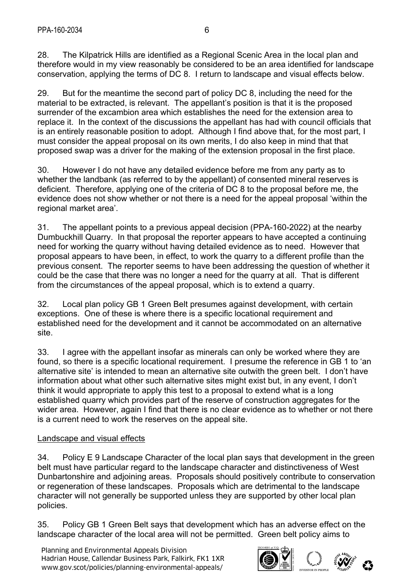28. The Kilpatrick Hills are identified as a Regional Scenic Area in the local plan and therefore would in my view reasonably be considered to be an area identified for landscape conservation, applying the terms of DC 8. I return to landscape and visual effects below.

29. But for the meantime the second part of policy DC 8, including the need for the material to be extracted, is relevant. The appellant's position is that it is the proposed surrender of the excambion area which establishes the need for the extension area to replace it. In the context of the discussions the appellant has had with council officials that is an entirely reasonable position to adopt. Although I find above that, for the most part, I must consider the appeal proposal on its own merits, I do also keep in mind that that proposed swap was a driver for the making of the extension proposal in the first place.

30. However I do not have any detailed evidence before me from any party as to whether the landbank (as referred to by the appellant) of consented mineral reserves is deficient. Therefore, applying one of the criteria of DC 8 to the proposal before me, the evidence does not show whether or not there is a need for the appeal proposal 'within the regional market area'.

31. The appellant points to a previous appeal decision (PPA-160-2022) at the nearby Dumbuckhill Quarry. In that proposal the reporter appears to have accepted a continuing need for working the quarry without having detailed evidence as to need. However that proposal appears to have been, in effect, to work the quarry to a different profile than the previous consent. The reporter seems to have been addressing the question of whether it could be the case that there was no longer a need for the quarry at all. That is different from the circumstances of the appeal proposal, which is to extend a quarry.

32. Local plan policy GB 1 Green Belt presumes against development, with certain exceptions. One of these is where there is a specific locational requirement and established need for the development and it cannot be accommodated on an alternative site.

33. I agree with the appellant insofar as minerals can only be worked where they are found, so there is a specific locational requirement. I presume the reference in GB 1 to 'an alternative site' is intended to mean an alternative site outwith the green belt. I don't have information about what other such alternative sites might exist but, in any event, I don't think it would appropriate to apply this test to a proposal to extend what is a long established quarry which provides part of the reserve of construction aggregates for the wider area. However, again I find that there is no clear evidence as to whether or not there is a current need to work the reserves on the appeal site.

## Landscape and visual effects

34. Policy E 9 Landscape Character of the local plan says that development in the green belt must have particular regard to the landscape character and distinctiveness of West Dunbartonshire and adjoining areas. Proposals should positively contribute to conservation or regeneration of these landscapes. Proposals which are detrimental to the landscape character will not generally be supported unless they are supported by other local plan policies.

35. Policy GB 1 Green Belt says that development which has an adverse effect on the landscape character of the local area will not be permitted. Green belt policy aims to

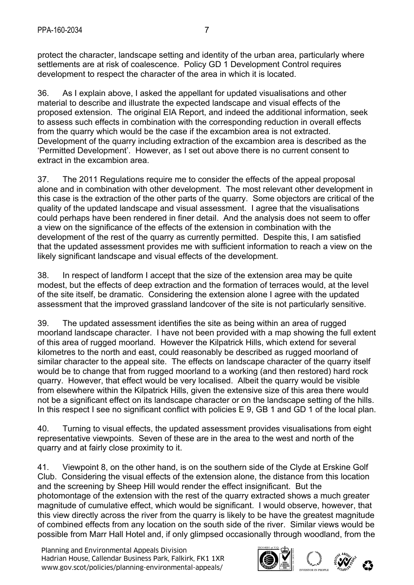protect the character, landscape setting and identity of the urban area, particularly where settlements are at risk of coalescence. Policy GD 1 Development Control requires development to respect the character of the area in which it is located.

36. As I explain above, I asked the appellant for updated visualisations and other material to describe and illustrate the expected landscape and visual effects of the proposed extension. The original EIA Report, and indeed the additional information, seek to assess such effects in combination with the corresponding reduction in overall effects from the quarry which would be the case if the excambion area is not extracted. Development of the quarry including extraction of the excambion area is described as the 'Permitted Development'. However, as I set out above there is no current consent to extract in the excambion area.

37. The 2011 Regulations require me to consider the effects of the appeal proposal alone and in combination with other development. The most relevant other development in this case is the extraction of the other parts of the quarry. Some objectors are critical of the quality of the updated landscape and visual assessment. I agree that the visualisations could perhaps have been rendered in finer detail. And the analysis does not seem to offer a view on the significance of the effects of the extension in combination with the development of the rest of the quarry as currently permitted. Despite this, I am satisfied that the updated assessment provides me with sufficient information to reach a view on the likely significant landscape and visual effects of the development.

38. In respect of landform I accept that the size of the extension area may be quite modest, but the effects of deep extraction and the formation of terraces would, at the level of the site itself, be dramatic. Considering the extension alone I agree with the updated assessment that the improved grassland landcover of the site is not particularly sensitive.

39. The updated assessment identifies the site as being within an area of rugged moorland landscape character. I have not been provided with a map showing the full extent of this area of rugged moorland. However the Kilpatrick Hills, which extend for several kilometres to the north and east, could reasonably be described as rugged moorland of similar character to the appeal site. The effects on landscape character of the quarry itself would be to change that from rugged moorland to a working (and then restored) hard rock quarry. However, that effect would be very localised. Albeit the quarry would be visible from elsewhere within the Kilpatrick Hills, given the extensive size of this area there would not be a significant effect on its landscape character or on the landscape setting of the hills. In this respect I see no significant conflict with policies E 9, GB 1 and GD 1 of the local plan.

40. Turning to visual effects, the updated assessment provides visualisations from eight representative viewpoints. Seven of these are in the area to the west and north of the quarry and at fairly close proximity to it.

41. Viewpoint 8, on the other hand, is on the southern side of the Clyde at Erskine Golf Club. Considering the visual effects of the extension alone, the distance from this location and the screening by Sheep Hill would render the effect insignificant. But the photomontage of the extension with the rest of the quarry extracted shows a much greater magnitude of cumulative effect, which would be significant. I would observe, however, that this view directly across the river from the quarry is likely to be have the greatest magnitude of combined effects from any location on the south side of the river. Similar views would be possible from Marr Hall Hotel and, if only glimpsed occasionally through woodland, from the

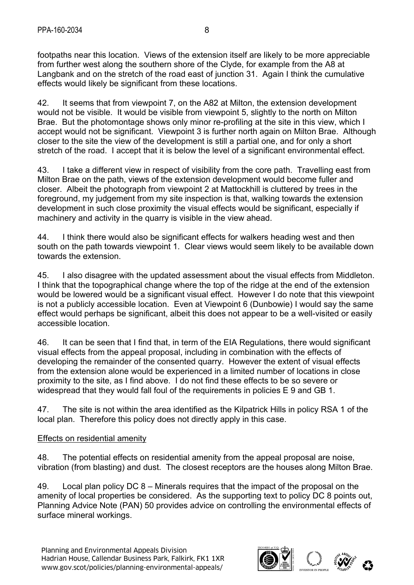footpaths near this location. Views of the extension itself are likely to be more appreciable from further west along the southern shore of the Clyde, for example from the A8 at Langbank and on the stretch of the road east of junction 31. Again I think the cumulative effects would likely be significant from these locations.

42. It seems that from viewpoint 7, on the A82 at Milton, the extension development would not be visible. It would be visible from viewpoint 5, slightly to the north on Milton Brae. But the photomontage shows only minor re-profiling at the site in this view, which I accept would not be significant. Viewpoint 3 is further north again on Milton Brae. Although closer to the site the view of the development is still a partial one, and for only a short stretch of the road. I accept that it is below the level of a significant environmental effect.

43. I take a different view in respect of visibility from the core path. Travelling east from Milton Brae on the path, views of the extension development would become fuller and closer. Albeit the photograph from viewpoint 2 at Mattockhill is cluttered by trees in the foreground, my judgement from my site inspection is that, walking towards the extension development in such close proximity the visual effects would be significant, especially if machinery and activity in the quarry is visible in the view ahead.

44. I think there would also be significant effects for walkers heading west and then south on the path towards viewpoint 1. Clear views would seem likely to be available down towards the extension.

45. I also disagree with the updated assessment about the visual effects from Middleton. I think that the topographical change where the top of the ridge at the end of the extension would be lowered would be a significant visual effect. However I do note that this viewpoint is not a publicly accessible location. Even at Viewpoint 6 (Dunbowie) I would say the same effect would perhaps be significant, albeit this does not appear to be a well-visited or easily accessible location.

46. It can be seen that I find that, in term of the EIA Regulations, there would significant visual effects from the appeal proposal, including in combination with the effects of developing the remainder of the consented quarry. However the extent of visual effects from the extension alone would be experienced in a limited number of locations in close proximity to the site, as I find above. I do not find these effects to be so severe or widespread that they would fall foul of the requirements in policies E 9 and GB 1.

47. The site is not within the area identified as the Kilpatrick Hills in policy RSA 1 of the local plan. Therefore this policy does not directly apply in this case.

## Effects on residential amenity

48. The potential effects on residential amenity from the appeal proposal are noise, vibration (from blasting) and dust. The closest receptors are the houses along Milton Brae.

49. Local plan policy DC 8 – Minerals requires that the impact of the proposal on the amenity of local properties be considered. As the supporting text to policy DC 8 points out, Planning Advice Note (PAN) 50 provides advice on controlling the environmental effects of surface mineral workings.

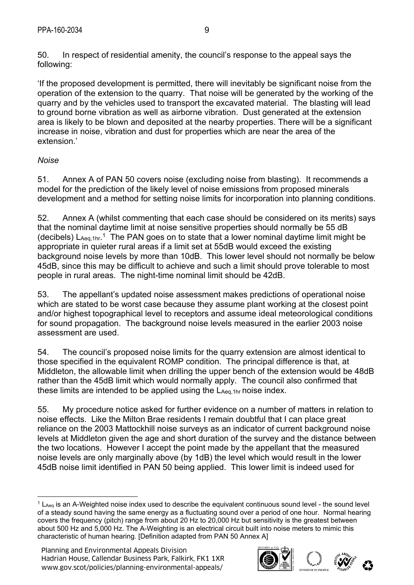50. In respect of residential amenity, the council's response to the appeal says the following:

'If the proposed development is permitted, there will inevitably be significant noise from the operation of the extension to the quarry. That noise will be generated by the working of the quarry and by the vehicles used to transport the excavated material. The blasting will lead to ground borne vibration as well as airborne vibration. Dust generated at the extension area is likely to be blown and deposited at the nearby properties. There will be a significant increase in noise, vibration and dust for properties which are near the area of the extension.'

## *Noise*

51. Annex A of PAN 50 covers noise (excluding noise from blasting). It recommends a model for the prediction of the likely level of noise emissions from proposed minerals development and a method for setting noise limits for incorporation into planning conditions.

52. Annex A (whilst commenting that each case should be considered on its merits) says that the nominal daytime limit at noise sensitive properties should normally be 55 dB (decibels)  $L_{Aeq,1hr}$ <sup>1</sup> The PAN goes on to state that a lower nominal daytime limit might be appropriate in quieter rural areas if a limit set at 55dB would exceed the existing background noise levels by more than 10dB. This lower level should not normally be below 45dB, since this may be difficult to achieve and such a limit should prove tolerable to most people in rural areas. The night-time nominal limit should be 42dB.

53. The appellant's updated noise assessment makes predictions of operational noise which are stated to be worst case because they assume plant working at the closest point and/or highest topographical level to receptors and assume ideal meteorological conditions for sound propagation. The background noise levels measured in the earlier 2003 noise assessment are used.

54. The council's proposed noise limits for the quarry extension are almost identical to those specified in the equivalent ROMP condition. The principal difference is that, at Middleton, the allowable limit when drilling the upper bench of the extension would be 48dB rather than the 45dB limit which would normally apply. The council also confirmed that these limits are intended to be applied using the  $\mathsf{L}_{\mathsf{Aeq},1hr}$  noise index.

55. My procedure notice asked for further evidence on a number of matters in relation to noise effects. Like the Milton Brae residents I remain doubtful that I can place great reliance on the 2003 Mattockhill noise surveys as an indicator of current background noise levels at Middleton given the age and short duration of the survey and the distance between the two locations. However I accept the point made by the appellant that the measured noise levels are only marginally above (by 1dB) the level which would result in the lower 45dB noise limit identified in PAN 50 being applied. This lower limit is indeed used for



<sup>1</sup>  $1 L_{\text{Aeg}}$  is an A-Weighted noise index used to describe the equivalent continuous sound level - the sound level of a steady sound having the same energy as a fluctuating sound over a period of one hour. Normal hearing covers the frequency (pitch) range from about 20 Hz to 20,000 Hz but sensitivity is the greatest between about 500 Hz and 5,000 Hz. The A-Weighting is an electrical circuit built into noise meters to mimic this characteristic of human hearing. [Definition adapted from PAN 50 Annex A]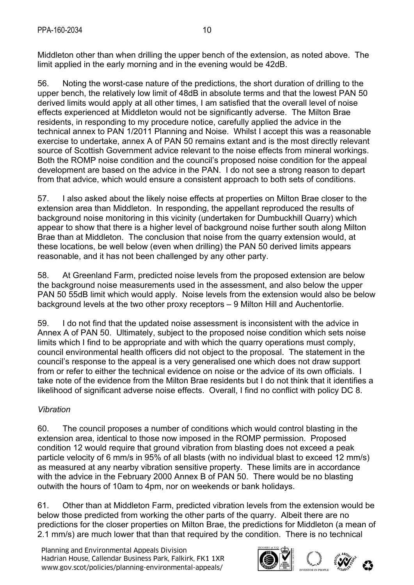Middleton other than when drilling the upper bench of the extension, as noted above. The limit applied in the early morning and in the evening would be 42dB.

56. Noting the worst-case nature of the predictions, the short duration of drilling to the upper bench, the relatively low limit of 48dB in absolute terms and that the lowest PAN 50 derived limits would apply at all other times, I am satisfied that the overall level of noise effects experienced at Middleton would not be significantly adverse. The Milton Brae residents, in responding to my procedure notice, carefully applied the advice in the technical annex to PAN 1/2011 Planning and Noise. Whilst I accept this was a reasonable exercise to undertake, annex A of PAN 50 remains extant and is the most directly relevant source of Scottish Government advice relevant to the noise effects from mineral workings. Both the ROMP noise condition and the council's proposed noise condition for the appeal development are based on the advice in the PAN. I do not see a strong reason to depart from that advice, which would ensure a consistent approach to both sets of conditions.

57. I also asked about the likely noise effects at properties on Milton Brae closer to the extension area than Middleton. In responding, the appellant reproduced the results of background noise monitoring in this vicinity (undertaken for Dumbuckhill Quarry) which appear to show that there is a higher level of background noise further south along Milton Brae than at Middleton. The conclusion that noise from the quarry extension would, at these locations, be well below (even when drilling) the PAN 50 derived limits appears reasonable, and it has not been challenged by any other party.

58. At Greenland Farm, predicted noise levels from the proposed extension are below the background noise measurements used in the assessment, and also below the upper PAN 50 55dB limit which would apply. Noise levels from the extension would also be below background levels at the two other proxy receptors – 9 Milton Hill and Auchentorlie.

59. I do not find that the updated noise assessment is inconsistent with the advice in Annex A of PAN 50. Ultimately, subject to the proposed noise condition which sets noise limits which I find to be appropriate and with which the quarry operations must comply, council environmental health officers did not object to the proposal. The statement in the council's response to the appeal is a very generalised one which does not draw support from or refer to either the technical evidence on noise or the advice of its own officials. I take note of the evidence from the Milton Brae residents but I do not think that it identifies a likelihood of significant adverse noise effects. Overall, I find no conflict with policy DC 8.

## *Vibration*

60. The council proposes a number of conditions which would control blasting in the extension area, identical to those now imposed in the ROMP permission. Proposed condition 12 would require that ground vibration from blasting does not exceed a peak particle velocity of 6 mm/s in 95% of all blasts (with no individual blast to exceed 12 mm/s) as measured at any nearby vibration sensitive property. These limits are in accordance with the advice in the February 2000 Annex B of PAN 50. There would be no blasting outwith the hours of 10am to 4pm, nor on weekends or bank holidays.

61. Other than at Middleton Farm, predicted vibration levels from the extension would be below those predicted from working the other parts of the quarry. Albeit there are no predictions for the closer properties on Milton Brae, the predictions for Middleton (a mean of 2.1 mm/s) are much lower that than that required by the condition. There is no technical

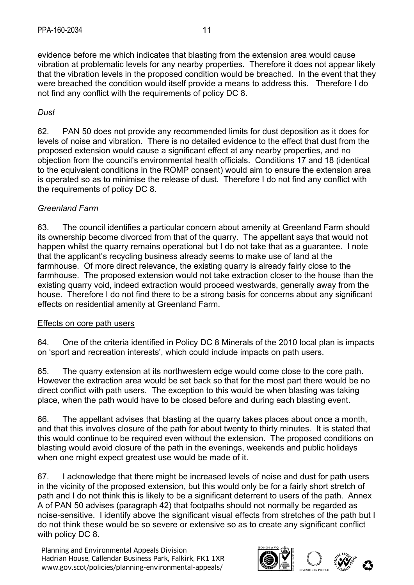evidence before me which indicates that blasting from the extension area would cause vibration at problematic levels for any nearby properties. Therefore it does not appear likely that the vibration levels in the proposed condition would be breached. In the event that they were breached the condition would itself provide a means to address this. Therefore I do not find any conflict with the requirements of policy DC 8.

## *Dust*

62. PAN 50 does not provide any recommended limits for dust deposition as it does for levels of noise and vibration. There is no detailed evidence to the effect that dust from the proposed extension would cause a significant effect at any nearby properties, and no objection from the council's environmental health officials. Conditions 17 and 18 (identical to the equivalent conditions in the ROMP consent) would aim to ensure the extension area is operated so as to minimise the release of dust. Therefore I do not find any conflict with the requirements of policy DC 8.

## *Greenland Farm*

63. The council identifies a particular concern about amenity at Greenland Farm should its ownership become divorced from that of the quarry. The appellant says that would not happen whilst the quarry remains operational but I do not take that as a guarantee. I note that the applicant's recycling business already seems to make use of land at the farmhouse. Of more direct relevance, the existing quarry is already fairly close to the farmhouse. The proposed extension would not take extraction closer to the house than the existing quarry void, indeed extraction would proceed westwards, generally away from the house. Therefore I do not find there to be a strong basis for concerns about any significant effects on residential amenity at Greenland Farm.

#### Effects on core path users

64. One of the criteria identified in Policy DC 8 Minerals of the 2010 local plan is impacts on 'sport and recreation interests', which could include impacts on path users.

65. The quarry extension at its northwestern edge would come close to the core path. However the extraction area would be set back so that for the most part there would be no direct conflict with path users. The exception to this would be when blasting was taking place, when the path would have to be closed before and during each blasting event.

66. The appellant advises that blasting at the quarry takes places about once a month, and that this involves closure of the path for about twenty to thirty minutes. It is stated that this would continue to be required even without the extension. The proposed conditions on blasting would avoid closure of the path in the evenings, weekends and public holidays when one might expect greatest use would be made of it.

67. I acknowledge that there might be increased levels of noise and dust for path users in the vicinity of the proposed extension, but this would only be for a fairly short stretch of path and I do not think this is likely to be a significant deterrent to users of the path. Annex A of PAN 50 advises (paragraph 42) that footpaths should not normally be regarded as noise-sensitive. I identify above the significant visual effects from stretches of the path but I do not think these would be so severe or extensive so as to create any significant conflict with policy DC 8.

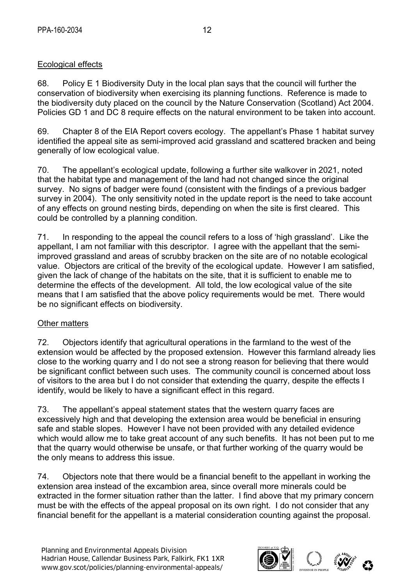## Ecological effects

68. Policy E 1 Biodiversity Duty in the local plan says that the council will further the conservation of biodiversity when exercising its planning functions. Reference is made to the biodiversity duty placed on the council by the Nature Conservation (Scotland) Act 2004. Policies GD 1 and DC 8 require effects on the natural environment to be taken into account.

69. Chapter 8 of the EIA Report covers ecology. The appellant's Phase 1 habitat survey identified the appeal site as semi-improved acid grassland and scattered bracken and being generally of low ecological value.

70. The appellant's ecological update, following a further site walkover in 2021, noted that the habitat type and management of the land had not changed since the original survey. No signs of badger were found (consistent with the findings of a previous badger survey in 2004). The only sensitivity noted in the update report is the need to take account of any effects on ground nesting birds, depending on when the site is first cleared. This could be controlled by a planning condition.

71. In responding to the appeal the council refers to a loss of 'high grassland'. Like the appellant, I am not familiar with this descriptor. I agree with the appellant that the semiimproved grassland and areas of scrubby bracken on the site are of no notable ecological value. Objectors are critical of the brevity of the ecological update. However I am satisfied, given the lack of change of the habitats on the site, that it is sufficient to enable me to determine the effects of the development. All told, the low ecological value of the site means that I am satisfied that the above policy requirements would be met. There would be no significant effects on biodiversity.

## Other matters

72. Objectors identify that agricultural operations in the farmland to the west of the extension would be affected by the proposed extension. However this farmland already lies close to the working quarry and I do not see a strong reason for believing that there would be significant conflict between such uses. The community council is concerned about loss of visitors to the area but I do not consider that extending the quarry, despite the effects I identify, would be likely to have a significant effect in this regard.

73. The appellant's appeal statement states that the western quarry faces are excessively high and that developing the extension area would be beneficial in ensuring safe and stable slopes. However I have not been provided with any detailed evidence which would allow me to take great account of any such benefits. It has not been put to me that the quarry would otherwise be unsafe, or that further working of the quarry would be the only means to address this issue.

74. Objectors note that there would be a financial benefit to the appellant in working the extension area instead of the excambion area, since overall more minerals could be extracted in the former situation rather than the latter. I find above that my primary concern must be with the effects of the appeal proposal on its own right. I do not consider that any financial benefit for the appellant is a material consideration counting against the proposal.

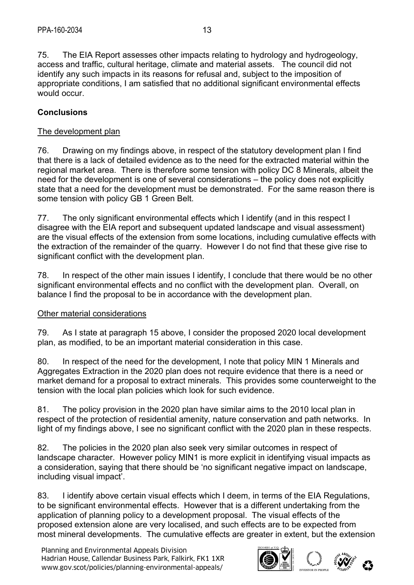75. The EIA Report assesses other impacts relating to hydrology and hydrogeology, access and traffic, cultural heritage, climate and material assets. The council did not identify any such impacts in its reasons for refusal and, subject to the imposition of appropriate conditions, I am satisfied that no additional significant environmental effects would occur.

## **Conclusions**

#### The development plan

76. Drawing on my findings above, in respect of the statutory development plan I find that there is a lack of detailed evidence as to the need for the extracted material within the regional market area. There is therefore some tension with policy DC 8 Minerals, albeit the need for the development is one of several considerations – the policy does not explicitly state that a need for the development must be demonstrated. For the same reason there is some tension with policy GB 1 Green Belt.

77. The only significant environmental effects which I identify (and in this respect I disagree with the EIA report and subsequent updated landscape and visual assessment) are the visual effects of the extension from some locations, including cumulative effects with the extraction of the remainder of the quarry. However I do not find that these give rise to significant conflict with the development plan.

78. In respect of the other main issues I identify, I conclude that there would be no other significant environmental effects and no conflict with the development plan. Overall, on balance I find the proposal to be in accordance with the development plan.

## Other material considerations

79. As I state at paragraph 15 above, I consider the proposed 2020 local development plan, as modified, to be an important material consideration in this case.

80. In respect of the need for the development, I note that policy MIN 1 Minerals and Aggregates Extraction in the 2020 plan does not require evidence that there is a need or market demand for a proposal to extract minerals. This provides some counterweight to the tension with the local plan policies which look for such evidence.

81. The policy provision in the 2020 plan have similar aims to the 2010 local plan in respect of the protection of residential amenity, nature conservation and path networks. In light of my findings above, I see no significant conflict with the 2020 plan in these respects.

82. The policies in the 2020 plan also seek very similar outcomes in respect of landscape character. However policy MIN1 is more explicit in identifying visual impacts as a consideration, saying that there should be 'no significant negative impact on landscape, including visual impact'.

83. I identify above certain visual effects which I deem, in terms of the EIA Regulations, to be significant environmental effects. However that is a different undertaking from the application of planning policy to a development proposal. The visual effects of the proposed extension alone are very localised, and such effects are to be expected from most mineral developments. The cumulative effects are greater in extent, but the extension

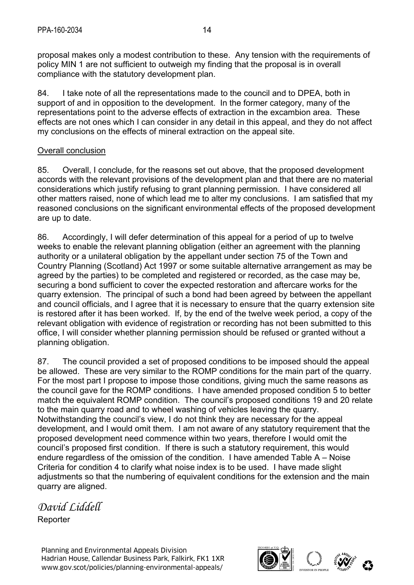proposal makes only a modest contribution to these. Any tension with the requirements of policy MIN 1 are not sufficient to outweigh my finding that the proposal is in overall compliance with the statutory development plan.

84. I take note of all the representations made to the council and to DPEA, both in support of and in opposition to the development. In the former category, many of the representations point to the adverse effects of extraction in the excambion area. These effects are not ones which I can consider in any detail in this appeal, and they do not affect my conclusions on the effects of mineral extraction on the appeal site.

#### Overall conclusion

85. Overall, I conclude, for the reasons set out above, that the proposed development accords with the relevant provisions of the development plan and that there are no material considerations which justify refusing to grant planning permission. I have considered all other matters raised, none of which lead me to alter my conclusions. I am satisfied that my reasoned conclusions on the significant environmental effects of the proposed development are up to date.

86. Accordingly, I will defer determination of this appeal for a period of up to twelve weeks to enable the relevant planning obligation (either an agreement with the planning authority or a unilateral obligation by the appellant under section 75 of the Town and Country Planning (Scotland) Act 1997 or some suitable alternative arrangement as may be agreed by the parties) to be completed and registered or recorded, as the case may be, securing a bond sufficient to cover the expected restoration and aftercare works for the quarry extension. The principal of such a bond had been agreed by between the appellant and council officials, and I agree that it is necessary to ensure that the quarry extension site is restored after it has been worked. If, by the end of the twelve week period, a copy of the relevant obligation with evidence of registration or recording has not been submitted to this office, I will consider whether planning permission should be refused or granted without a planning obligation.

87. The council provided a set of proposed conditions to be imposed should the appeal be allowed. These are very similar to the ROMP conditions for the main part of the quarry. For the most part I propose to impose those conditions, giving much the same reasons as the council gave for the ROMP conditions. I have amended proposed condition 5 to better match the equivalent ROMP condition. The council's proposed conditions 19 and 20 relate to the main quarry road and to wheel washing of vehicles leaving the quarry. Notwithstanding the council's view, I do not think they are necessary for the appeal development, and I would omit them. I am not aware of any statutory requirement that the proposed development need commence within two years, therefore I would omit the council's proposed first condition. If there is such a statutory requirement, this would endure regardless of the omission of the condition. I have amended Table A – Noise Criteria for condition 4 to clarify what noise index is to be used. I have made slight adjustments so that the numbering of equivalent conditions for the extension and the main quarry are aligned.

*David Liddell* 

**Reporter** 

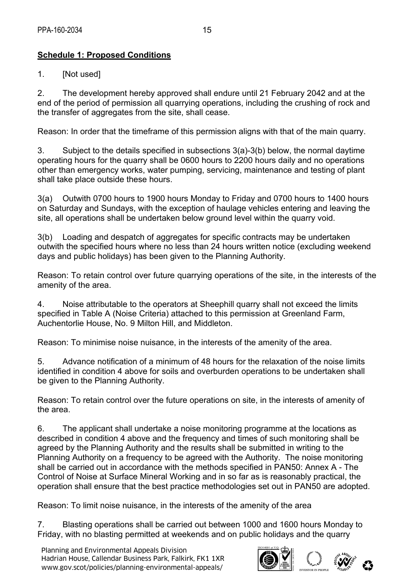# **Schedule 1: Proposed Conditions**

1. [Not used]

2. The development hereby approved shall endure until 21 February 2042 and at the end of the period of permission all quarrying operations, including the crushing of rock and the transfer of aggregates from the site, shall cease.

Reason: In order that the timeframe of this permission aligns with that of the main quarry.

3. Subject to the details specified in subsections 3(a)-3(b) below, the normal daytime operating hours for the quarry shall be 0600 hours to 2200 hours daily and no operations other than emergency works, water pumping, servicing, maintenance and testing of plant shall take place outside these hours.

3(a) Outwith 0700 hours to 1900 hours Monday to Friday and 0700 hours to 1400 hours on Saturday and Sundays, with the exception of haulage vehicles entering and leaving the site, all operations shall be undertaken below ground level within the quarry void.

3(b) Loading and despatch of aggregates for specific contracts may be undertaken outwith the specified hours where no less than 24 hours written notice (excluding weekend days and public holidays) has been given to the Planning Authority.

Reason: To retain control over future quarrying operations of the site, in the interests of the amenity of the area.

4. Noise attributable to the operators at Sheephill quarry shall not exceed the limits specified in Table A (Noise Criteria) attached to this permission at Greenland Farm, Auchentorlie House, No. 9 Milton Hill, and Middleton.

Reason: To minimise noise nuisance, in the interests of the amenity of the area.

5. Advance notification of a minimum of 48 hours for the relaxation of the noise limits identified in condition 4 above for soils and overburden operations to be undertaken shall be given to the Planning Authority.

Reason: To retain control over the future operations on site, in the interests of amenity of the area.

6. The applicant shall undertake a noise monitoring programme at the locations as described in condition 4 above and the frequency and times of such monitoring shall be agreed by the Planning Authority and the results shall be submitted in writing to the Planning Authority on a frequency to be agreed with the Authority. The noise monitoring shall be carried out in accordance with the methods specified in PAN50: Annex A - The Control of Noise at Surface Mineral Working and in so far as is reasonably practical, the operation shall ensure that the best practice methodologies set out in PAN50 are adopted.

Reason: To limit noise nuisance, in the interests of the amenity of the area

7. Blasting operations shall be carried out between 1000 and 1600 hours Monday to Friday, with no blasting permitted at weekends and on public holidays and the quarry

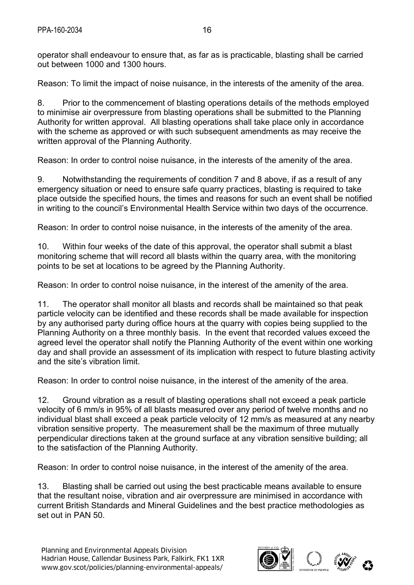operator shall endeavour to ensure that, as far as is practicable, blasting shall be carried out between 1000 and 1300 hours.

Reason: To limit the impact of noise nuisance, in the interests of the amenity of the area.

8. Prior to the commencement of blasting operations details of the methods employed to minimise air overpressure from blasting operations shall be submitted to the Planning Authority for written approval. All blasting operations shall take place only in accordance with the scheme as approved or with such subsequent amendments as may receive the written approval of the Planning Authority.

Reason: In order to control noise nuisance, in the interests of the amenity of the area.

9. Notwithstanding the requirements of condition 7 and 8 above, if as a result of any emergency situation or need to ensure safe quarry practices, blasting is required to take place outside the specified hours, the times and reasons for such an event shall be notified in writing to the council's Environmental Health Service within two days of the occurrence.

Reason: In order to control noise nuisance, in the interests of the amenity of the area.

10. Within four weeks of the date of this approval, the operator shall submit a blast monitoring scheme that will record all blasts within the quarry area, with the monitoring points to be set at locations to be agreed by the Planning Authority.

Reason: In order to control noise nuisance, in the interest of the amenity of the area.

11. The operator shall monitor all blasts and records shall be maintained so that peak particle velocity can be identified and these records shall be made available for inspection by any authorised party during office hours at the quarry with copies being supplied to the Planning Authority on a three monthly basis. In the event that recorded values exceed the agreed level the operator shall notify the Planning Authority of the event within one working day and shall provide an assessment of its implication with respect to future blasting activity and the site's vibration limit.

Reason: In order to control noise nuisance, in the interest of the amenity of the area.

12. Ground vibration as a result of blasting operations shall not exceed a peak particle velocity of 6 mm/s in 95% of all blasts measured over any period of twelve months and no individual blast shall exceed a peak particle velocity of 12 mm/s as measured at any nearby vibration sensitive property. The measurement shall be the maximum of three mutually perpendicular directions taken at the ground surface at any vibration sensitive building; all to the satisfaction of the Planning Authority.

Reason: In order to control noise nuisance, in the interest of the amenity of the area.

13. Blasting shall be carried out using the best practicable means available to ensure that the resultant noise, vibration and air overpressure are minimised in accordance with current British Standards and Mineral Guidelines and the best practice methodologies as set out in PAN 50.

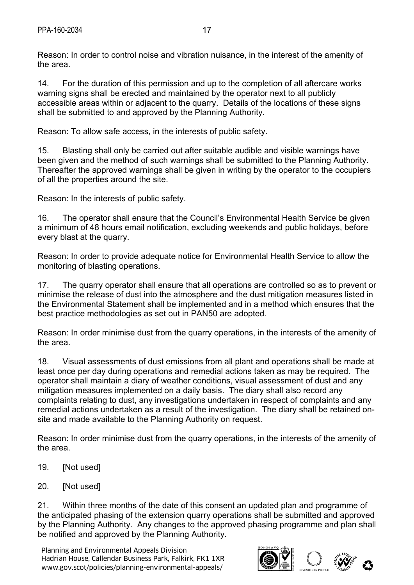Reason: In order to control noise and vibration nuisance, in the interest of the amenity of the area.

14. For the duration of this permission and up to the completion of all aftercare works warning signs shall be erected and maintained by the operator next to all publicly accessible areas within or adjacent to the quarry. Details of the locations of these signs shall be submitted to and approved by the Planning Authority.

Reason: To allow safe access, in the interests of public safety.

15. Blasting shall only be carried out after suitable audible and visible warnings have been given and the method of such warnings shall be submitted to the Planning Authority. Thereafter the approved warnings shall be given in writing by the operator to the occupiers of all the properties around the site.

Reason: In the interests of public safety.

16. The operator shall ensure that the Council's Environmental Health Service be given a minimum of 48 hours email notification, excluding weekends and public holidays, before every blast at the quarry.

Reason: In order to provide adequate notice for Environmental Health Service to allow the monitoring of blasting operations.

17. The quarry operator shall ensure that all operations are controlled so as to prevent or minimise the release of dust into the atmosphere and the dust mitigation measures listed in the Environmental Statement shall be implemented and in a method which ensures that the best practice methodologies as set out in PAN50 are adopted.

Reason: In order minimise dust from the quarry operations, in the interests of the amenity of the area.

18. Visual assessments of dust emissions from all plant and operations shall be made at least once per day during operations and remedial actions taken as may be required. The operator shall maintain a diary of weather conditions, visual assessment of dust and any mitigation measures implemented on a daily basis. The diary shall also record any complaints relating to dust, any investigations undertaken in respect of complaints and any remedial actions undertaken as a result of the investigation. The diary shall be retained onsite and made available to the Planning Authority on request.

Reason: In order minimise dust from the quarry operations, in the interests of the amenity of the area.

- 19. [Not used]
- 20. [Not used]

21. Within three months of the date of this consent an updated plan and programme of the anticipated phasing of the extension quarry operations shall be submitted and approved by the Planning Authority. Any changes to the approved phasing programme and plan shall be notified and approved by the Planning Authority.

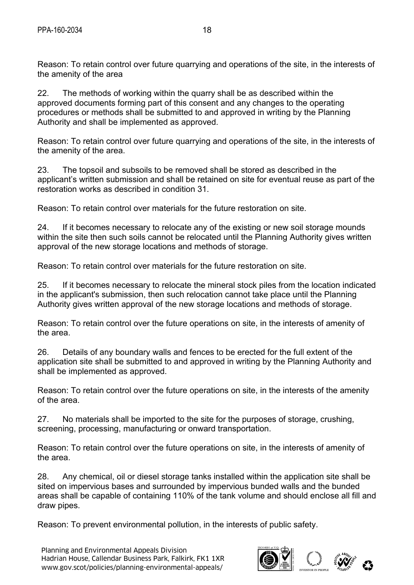Reason: To retain control over future quarrying and operations of the site, in the interests of the amenity of the area

22. The methods of working within the quarry shall be as described within the approved documents forming part of this consent and any changes to the operating procedures or methods shall be submitted to and approved in writing by the Planning Authority and shall be implemented as approved.

Reason: To retain control over future quarrying and operations of the site, in the interests of the amenity of the area.

23. The topsoil and subsoils to be removed shall be stored as described in the applicant's written submission and shall be retained on site for eventual reuse as part of the restoration works as described in condition 31.

Reason: To retain control over materials for the future restoration on site.

24. If it becomes necessary to relocate any of the existing or new soil storage mounds within the site then such soils cannot be relocated until the Planning Authority gives written approval of the new storage locations and methods of storage.

Reason: To retain control over materials for the future restoration on site.

25. If it becomes necessary to relocate the mineral stock piles from the location indicated in the applicant's submission, then such relocation cannot take place until the Planning Authority gives written approval of the new storage locations and methods of storage.

Reason: To retain control over the future operations on site, in the interests of amenity of the area.

26. Details of any boundary walls and fences to be erected for the full extent of the application site shall be submitted to and approved in writing by the Planning Authority and shall be implemented as approved.

Reason: To retain control over the future operations on site, in the interests of the amenity of the area.

27. No materials shall be imported to the site for the purposes of storage, crushing, screening, processing, manufacturing or onward transportation.

Reason: To retain control over the future operations on site, in the interests of amenity of the area.

28. Any chemical, oil or diesel storage tanks installed within the application site shall be sited on impervious bases and surrounded by impervious bunded walls and the bunded areas shall be capable of containing 110% of the tank volume and should enclose all fill and draw pipes.

Reason: To prevent environmental pollution, in the interests of public safety.

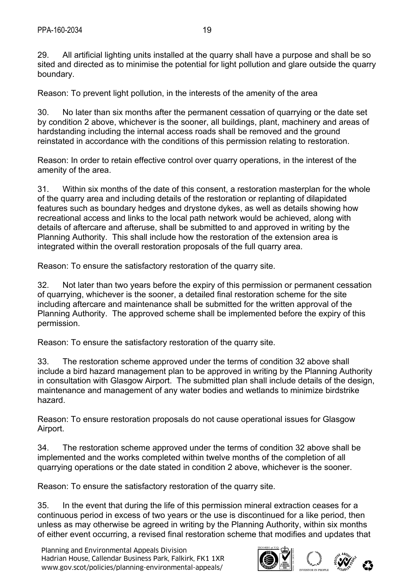29. All artificial lighting units installed at the quarry shall have a purpose and shall be so sited and directed as to minimise the potential for light pollution and glare outside the quarry boundary.

Reason: To prevent light pollution, in the interests of the amenity of the area

30. No later than six months after the permanent cessation of quarrying or the date set by condition 2 above, whichever is the sooner, all buildings, plant, machinery and areas of hardstanding including the internal access roads shall be removed and the ground reinstated in accordance with the conditions of this permission relating to restoration.

Reason: In order to retain effective control over quarry operations, in the interest of the amenity of the area.

31. Within six months of the date of this consent, a restoration masterplan for the whole of the quarry area and including details of the restoration or replanting of dilapidated features such as boundary hedges and drystone dykes, as well as details showing how recreational access and links to the local path network would be achieved, along with details of aftercare and afteruse, shall be submitted to and approved in writing by the Planning Authority. This shall include how the restoration of the extension area is integrated within the overall restoration proposals of the full quarry area.

Reason: To ensure the satisfactory restoration of the quarry site.

32. Not later than two years before the expiry of this permission or permanent cessation of quarrying, whichever is the sooner, a detailed final restoration scheme for the site including aftercare and maintenance shall be submitted for the written approval of the Planning Authority. The approved scheme shall be implemented before the expiry of this permission.

Reason: To ensure the satisfactory restoration of the quarry site.

33. The restoration scheme approved under the terms of condition 32 above shall include a bird hazard management plan to be approved in writing by the Planning Authority in consultation with Glasgow Airport. The submitted plan shall include details of the design, maintenance and management of any water bodies and wetlands to minimize birdstrike hazard.

Reason: To ensure restoration proposals do not cause operational issues for Glasgow Airport.

34. The restoration scheme approved under the terms of condition 32 above shall be implemented and the works completed within twelve months of the completion of all quarrying operations or the date stated in condition 2 above, whichever is the sooner.

Reason: To ensure the satisfactory restoration of the quarry site.

35. In the event that during the life of this permission mineral extraction ceases for a continuous period in excess of two years or the use is discontinued for a like period, then unless as may otherwise be agreed in writing by the Planning Authority, within six months of either event occurring, a revised final restoration scheme that modifies and updates that

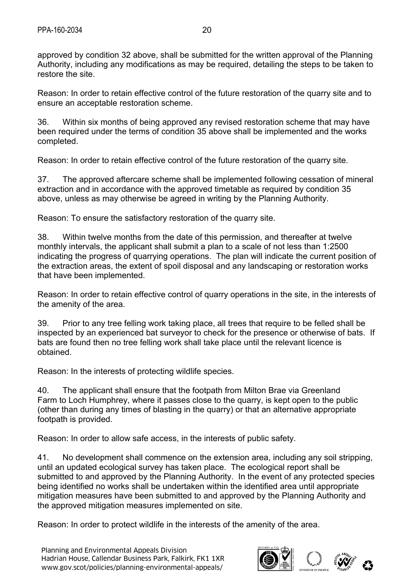approved by condition 32 above, shall be submitted for the written approval of the Planning Authority, including any modifications as may be required, detailing the steps to be taken to restore the site.

Reason: In order to retain effective control of the future restoration of the quarry site and to ensure an acceptable restoration scheme.

36. Within six months of being approved any revised restoration scheme that may have been required under the terms of condition 35 above shall be implemented and the works completed.

Reason: In order to retain effective control of the future restoration of the quarry site.

37. The approved aftercare scheme shall be implemented following cessation of mineral extraction and in accordance with the approved timetable as required by condition 35 above, unless as may otherwise be agreed in writing by the Planning Authority.

Reason: To ensure the satisfactory restoration of the quarry site.

38. Within twelve months from the date of this permission, and thereafter at twelve monthly intervals, the applicant shall submit a plan to a scale of not less than 1:2500 indicating the progress of quarrying operations. The plan will indicate the current position of the extraction areas, the extent of spoil disposal and any landscaping or restoration works that have been implemented.

Reason: In order to retain effective control of quarry operations in the site, in the interests of the amenity of the area.

39. Prior to any tree felling work taking place, all trees that require to be felled shall be inspected by an experienced bat surveyor to check for the presence or otherwise of bats. If bats are found then no tree felling work shall take place until the relevant licence is obtained.

Reason: In the interests of protecting wildlife species.

40. The applicant shall ensure that the footpath from Milton Brae via Greenland Farm to Loch Humphrey, where it passes close to the quarry, is kept open to the public (other than during any times of blasting in the quarry) or that an alternative appropriate footpath is provided.

Reason: In order to allow safe access, in the interests of public safety.

41. No development shall commence on the extension area, including any soil stripping, until an updated ecological survey has taken place. The ecological report shall be submitted to and approved by the Planning Authority. In the event of any protected species being identified no works shall be undertaken within the identified area until appropriate mitigation measures have been submitted to and approved by the Planning Authority and the approved mitigation measures implemented on site.

Reason: In order to protect wildlife in the interests of the amenity of the area.